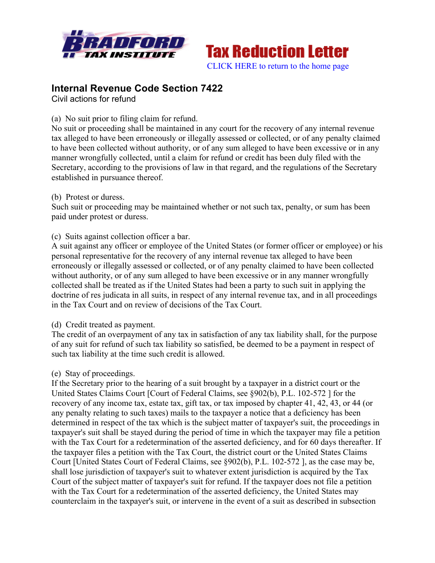



# **Internal Revenue Code Section 7422**

Civil actions for refund

## (a) No suit prior to filing claim for refund.

No suit or proceeding shall be maintained in any court for the recovery of any internal revenue tax alleged to have been erroneously or illegally assessed or collected, or of any penalty claimed to have been collected without authority, or of any sum alleged to have been excessive or in any manner wrongfully collected, until a claim for refund or credit has been duly filed with the Secretary, according to the provisions of law in that regard, and the regulations of the Secretary established in pursuance thereof.

### (b) Protest or duress.

Such suit or proceeding may be maintained whether or not such tax, penalty, or sum has been paid under protest or duress.

## (c) Suits against collection officer a bar.

A suit against any officer or employee of the United States (or former officer or employee) or his personal representative for the recovery of any internal revenue tax alleged to have been erroneously or illegally assessed or collected, or of any penalty claimed to have been collected without authority, or of any sum alleged to have been excessive or in any manner wrongfully collected shall be treated as if the United States had been a party to such suit in applying the doctrine of res judicata in all suits, in respect of any internal revenue tax, and in all proceedings in the Tax Court and on review of decisions of the Tax Court.

#### (d) Credit treated as payment.

The credit of an overpayment of any tax in satisfaction of any tax liability shall, for the purpose of any suit for refund of such tax liability so satisfied, be deemed to be a payment in respect of such tax liability at the time such credit is allowed.

## (e) Stay of proceedings.

If the Secretary prior to the hearing of a suit brought by a taxpayer in a district court or the United States Claims Court [Court of Federal Claims, see §902(b), P.L. 102-572 ] for the recovery of any income tax, estate tax, gift tax, or tax imposed by chapter 41, 42, 43, or 44 (or any penalty relating to such taxes) mails to the taxpayer a notice that a deficiency has been determined in respect of the tax which is the subject matter of taxpayer's suit, the proceedings in taxpayer's suit shall be stayed during the period of time in which the taxpayer may file a petition with the Tax Court for a redetermination of the asserted deficiency, and for 60 days thereafter. If the taxpayer files a petition with the Tax Court, the district court or the United States Claims Court [United States Court of Federal Claims, see §902(b), P.L. 102-572 ], as the case may be, shall lose jurisdiction of taxpayer's suit to whatever extent jurisdiction is acquired by the Tax Court of the subject matter of taxpayer's suit for refund. If the taxpayer does not file a petition with the Tax Court for a redetermination of the asserted deficiency, the United States may counterclaim in the taxpayer's suit, or intervene in the event of a suit as described in subsection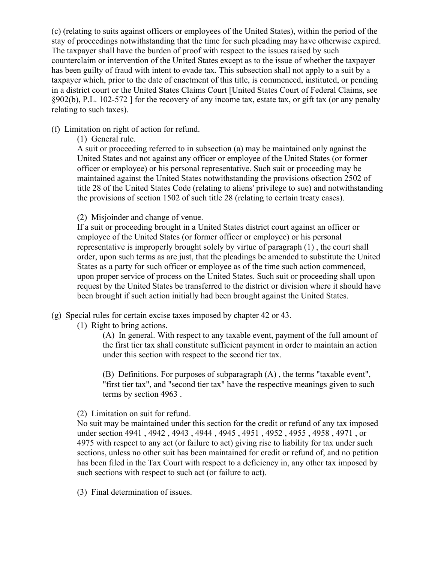(c) (relating to suits against officers or employees of the United States), within the period of the stay of proceedings notwithstanding that the time for such pleading may have otherwise expired. The taxpayer shall have the burden of proof with respect to the issues raised by such counterclaim or intervention of the United States except as to the issue of whether the taxpayer has been guilty of fraud with intent to evade tax. This subsection shall not apply to a suit by a taxpayer which, prior to the date of enactment of this title, is commenced, instituted, or pending in a district court or the United States Claims Court [United States Court of Federal Claims, see §902(b), P.L. 102-572 ] for the recovery of any income tax, estate tax, or gift tax (or any penalty relating to such taxes).

## (f) Limitation on right of action for refund.

(1) General rule.

A suit or proceeding referred to in subsection (a) may be maintained only against the United States and not against any officer or employee of the United States (or former officer or employee) or his personal representative. Such suit or proceeding may be maintained against the United States notwithstanding the provisions ofsection 2502 of title 28 of the United States Code (relating to aliens' privilege to sue) and notwithstanding the provisions of section 1502 of such title 28 (relating to certain treaty cases).

(2) Misjoinder and change of venue.

If a suit or proceeding brought in a United States district court against an officer or employee of the United States (or former officer or employee) or his personal representative is improperly brought solely by virtue of paragraph (1) , the court shall order, upon such terms as are just, that the pleadings be amended to substitute the United States as a party for such officer or employee as of the time such action commenced, upon proper service of process on the United States. Such suit or proceeding shall upon request by the United States be transferred to the district or division where it should have been brought if such action initially had been brought against the United States.

(g) Special rules for certain excise taxes imposed by chapter 42 or 43.

(1) Right to bring actions.

(A) In general. With respect to any taxable event, payment of the full amount of the first tier tax shall constitute sufficient payment in order to maintain an action under this section with respect to the second tier tax.

(B) Definitions. For purposes of subparagraph (A) , the terms "taxable event", "first tier tax", and "second tier tax" have the respective meanings given to such terms by section 4963 .

(2) Limitation on suit for refund.

No suit may be maintained under this section for the credit or refund of any tax imposed under section 4941 , 4942 , 4943 , 4944 , 4945 , 4951 , 4952 , 4955 , 4958 , 4971 , or 4975 with respect to any act (or failure to act) giving rise to liability for tax under such sections, unless no other suit has been maintained for credit or refund of, and no petition has been filed in the Tax Court with respect to a deficiency in, any other tax imposed by such sections with respect to such act (or failure to act).

(3) Final determination of issues.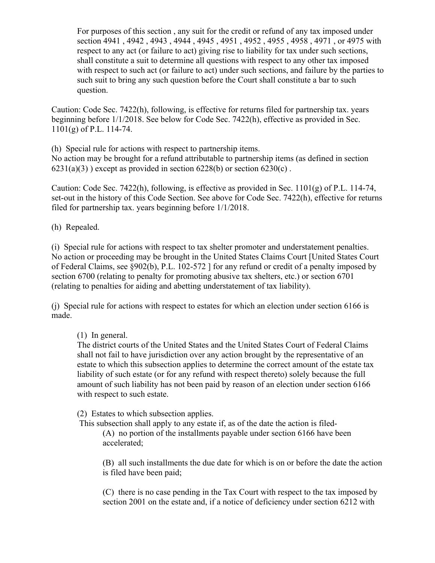For purposes of this section , any suit for the credit or refund of any tax imposed under section 4941 , 4942 , 4943 , 4944 , 4945 , 4951 , 4952 , 4955 , 4958 , 4971 , or 4975 with respect to any act (or failure to act) giving rise to liability for tax under such sections, shall constitute a suit to determine all questions with respect to any other tax imposed with respect to such act (or failure to act) under such sections, and failure by the parties to such suit to bring any such question before the Court shall constitute a bar to such question.

Caution: Code Sec. 7422(h), following, is effective for returns filed for partnership tax. years beginning before 1/1/2018. See below for Code Sec. 7422(h), effective as provided in Sec. 1101(g) of P.L. 114-74.

(h) Special rule for actions with respect to partnership items.

No action may be brought for a refund attributable to partnership items (as defined in section  $6231(a)(3)$ ) except as provided in section  $6228(b)$  or section  $6230(c)$ .

Caution: Code Sec. 7422(h), following, is effective as provided in Sec. 1101(g) of P.L. 114-74, set-out in the history of this Code Section. See above for Code Sec. 7422(h), effective for returns filed for partnership tax. years beginning before 1/1/2018.

(h) Repealed.

(i) Special rule for actions with respect to tax shelter promoter and understatement penalties. No action or proceeding may be brought in the United States Claims Court [United States Court of Federal Claims, see §902(b), P.L. 102-572 ] for any refund or credit of a penalty imposed by section 6700 (relating to penalty for promoting abusive tax shelters, etc.) or section 6701 (relating to penalties for aiding and abetting understatement of tax liability).

(j) Special rule for actions with respect to estates for which an election under section 6166 is made.

(1) In general.

The district courts of the United States and the United States Court of Federal Claims shall not fail to have jurisdiction over any action brought by the representative of an estate to which this subsection applies to determine the correct amount of the estate tax liability of such estate (or for any refund with respect thereto) solely because the full amount of such liability has not been paid by reason of an election under section 6166 with respect to such estate.

(2) Estates to which subsection applies.

This subsection shall apply to any estate if, as of the date the action is filed-

(A) no portion of the installments payable under section 6166 have been accelerated;

(B) all such installments the due date for which is on or before the date the action is filed have been paid;

(C) there is no case pending in the Tax Court with respect to the tax imposed by section 2001 on the estate and, if a notice of deficiency under section 6212 with